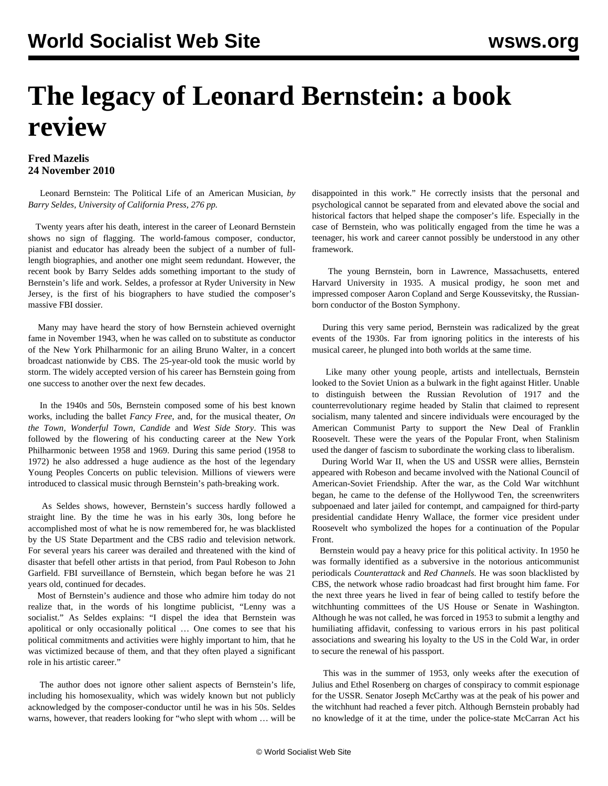## **The legacy of Leonard Bernstein: a book review**

## **Fred Mazelis 24 November 2010**

 Leonard Bernstein: The Political Life of an American Musician, *by Barry Seldes, University of California Press, 276 pp.*

 Twenty years after his death, interest in the career of Leonard Bernstein shows no sign of flagging. The world-famous composer, conductor, pianist and educator has already been the subject of a number of fulllength biographies, and another one might seem redundant. However, the recent book by Barry Seldes adds something important to the study of Bernstein's life and work. Seldes, a professor at Ryder University in New Jersey, is the first of his biographers to have studied the composer's massive FBI dossier.

 Many may have heard the story of how Bernstein achieved overnight fame in November 1943, when he was called on to substitute as conductor of the New York Philharmonic for an ailing Bruno Walter, in a concert broadcast nationwide by CBS. The 25-year-old took the music world by storm. The widely accepted version of his career has Bernstein going from one success to another over the next few decades.

 In the 1940s and 50s, Bernstein composed some of his best known works, including the ballet *Fancy Free*, and, for the musical theater, *On the Town, Wonderful Town, Candide* and *West Side Story*. This was followed by the flowering of his conducting career at the New York Philharmonic between 1958 and 1969. During this same period (1958 to 1972) he also addressed a huge audience as the host of the legendary Young Peoples Concerts on public television. Millions of viewers were introduced to classical music through Bernstein's path-breaking work.

 As Seldes shows, however, Bernstein's success hardly followed a straight line. By the time he was in his early 30s, long before he accomplished most of what he is now remembered for, he was blacklisted by the US State Department and the CBS radio and television network. For several years his career was derailed and threatened with the kind of disaster that befell other artists in that period, from Paul Robeson to John Garfield. FBI surveillance of Bernstein, which began before he was 21 years old, continued for decades.

 Most of Bernstein's audience and those who admire him today do not realize that, in the words of his longtime publicist, "Lenny was a socialist." As Seldes explains: "I dispel the idea that Bernstein was apolitical or only occasionally political … One comes to see that his political commitments and activities were highly important to him, that he was victimized because of them, and that they often played a significant role in his artistic career."

 The author does not ignore other salient aspects of Bernstein's life, including his homosexuality, which was widely known but not publicly acknowledged by the composer-conductor until he was in his 50s. Seldes warns, however, that readers looking for "who slept with whom … will be

disappointed in this work." He correctly insists that the personal and psychological cannot be separated from and elevated above the social and historical factors that helped shape the composer's life. Especially in the case of Bernstein, who was politically engaged from the time he was a teenager, his work and career cannot possibly be understood in any other framework.

 The young Bernstein, born in Lawrence, Massachusetts, entered Harvard University in 1935. A musical prodigy, he soon met and impressed composer Aaron Copland and Serge Koussevitsky, the Russianborn conductor of the Boston Symphony.

 During this very same period, Bernstein was radicalized by the great events of the 1930s. Far from ignoring politics in the interests of his musical career, he plunged into both worlds at the same time.

 Like many other young people, artists and intellectuals, Bernstein looked to the Soviet Union as a bulwark in the fight against Hitler. Unable to distinguish between the Russian Revolution of 1917 and the counterrevolutionary regime headed by Stalin that claimed to represent socialism, many talented and sincere individuals were encouraged by the American Communist Party to support the New Deal of Franklin Roosevelt. These were the years of the Popular Front, when Stalinism used the danger of fascism to subordinate the working class to liberalism.

 During World War II, when the US and USSR were allies, Bernstein appeared with Robeson and became involved with the National Council of American-Soviet Friendship. After the war, as the Cold War witchhunt began, he came to the defense of the Hollywood Ten, the screenwriters subpoenaed and later jailed for contempt, and campaigned for third-party presidential candidate Henry Wallace, the former vice president under Roosevelt who symbolized the hopes for a continuation of the Popular Front.

 Bernstein would pay a heavy price for this political activity. In 1950 he was formally identified as a subversive in the notorious anticommunist periodicals *Counterattack* and *Red Channels.* He was soon blacklisted by CBS, the network whose radio broadcast had first brought him fame. For the next three years he lived in fear of being called to testify before the witchhunting committees of the US House or Senate in Washington. Although he was not called, he was forced in 1953 to submit a lengthy and humiliating affidavit, confessing to various errors in his past political associations and swearing his loyalty to the US in the Cold War, in order to secure the renewal of his passport.

 This was in the summer of 1953, only weeks after the execution of Julius and Ethel Rosenberg on charges of conspiracy to commit espionage for the USSR. Senator Joseph McCarthy was at the peak of his power and the witchhunt had reached a fever pitch. Although Bernstein probably had no knowledge of it at the time, under the police-state McCarran Act his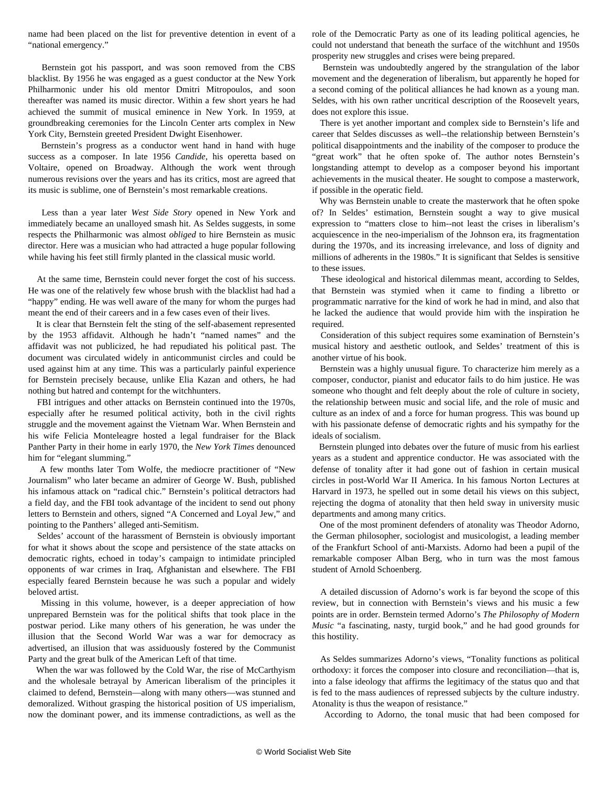name had been placed on the list for preventive detention in event of a "national emergency."

 Bernstein got his passport, and was soon removed from the CBS blacklist. By 1956 he was engaged as a guest conductor at the New York Philharmonic under his old mentor Dmitri Mitropoulos, and soon thereafter was named its music director. Within a few short years he had achieved the summit of musical eminence in New York. In 1959, at groundbreaking ceremonies for the Lincoln Center arts complex in New York City, Bernstein greeted President Dwight Eisenhower.

 Bernstein's progress as a conductor went hand in hand with huge success as a composer. In late 1956 *Candide*, his operetta based on Voltaire, opened on Broadway. Although the work went through numerous revisions over the years and has its critics, most are agreed that its music is sublime, one of Bernstein's most remarkable creations.

 Less than a year later *West Side Story* opened in New York and immediately became an unalloyed smash hit. As Seldes suggests, in some respects the Philharmonic was almost *obliged* to hire Bernstein as music director. Here was a musician who had attracted a huge popular following while having his feet still firmly planted in the classical music world.

 At the same time, Bernstein could never forget the cost of his success. He was one of the relatively few whose brush with the blacklist had had a "happy" ending. He was well aware of the many for whom the purges had meant the end of their careers and in a few cases even of their lives.

 It is clear that Bernstein felt the sting of the self-abasement represented by the 1953 affidavit. Although he hadn't "named names" and the affidavit was not publicized, he had repudiated his political past. The document was circulated widely in anticommunist circles and could be used against him at any time. This was a particularly painful experience for Bernstein precisely because, unlike Elia Kazan and others, he had nothing but hatred and contempt for the witchhunters.

 FBI intrigues and other attacks on Bernstein continued into the 1970s, especially after he resumed political activity, both in the civil rights struggle and the movement against the Vietnam War. When Bernstein and his wife Felicia Monteleagre hosted a legal fundraiser for the Black Panther Party in their home in early 1970, the *New York Times* denounced him for "elegant slumming."

 A few months later Tom Wolfe, the mediocre practitioner of "New Journalism" who later became an admirer of George W. Bush, published his infamous attack on "radical chic." Bernstein's political detractors had a field day, and the FBI took advantage of the incident to send out phony letters to Bernstein and others, signed "A Concerned and Loyal Jew," and pointing to the Panthers' alleged anti-Semitism.

 Seldes' account of the harassment of Bernstein is obviously important for what it shows about the scope and persistence of the state attacks on democratic rights, echoed in today's campaign to intimidate principled opponents of war crimes in Iraq, Afghanistan and elsewhere. The FBI especially feared Bernstein because he was such a popular and widely beloved artist.

 Missing in this volume, however, is a deeper appreciation of how unprepared Bernstein was for the political shifts that took place in the postwar period. Like many others of his generation, he was under the illusion that the Second World War was a war for democracy as advertised, an illusion that was assiduously fostered by the Communist Party and the great bulk of the American Left of that time.

 When the war was followed by the Cold War, the rise of McCarthyism and the wholesale betrayal by American liberalism of the principles it claimed to defend, Bernstein—along with many others—was stunned and demoralized. Without grasping the historical position of US imperialism, now the dominant power, and its immense contradictions, as well as the role of the Democratic Party as one of its leading political agencies, he could not understand that beneath the surface of the witchhunt and 1950s prosperity new struggles and crises were being prepared.

 Bernstein was undoubtedly angered by the strangulation of the labor movement and the degeneration of liberalism, but apparently he hoped for a second coming of the political alliances he had known as a young man. Seldes, with his own rather uncritical description of the Roosevelt years, does not explore this issue.

 There is yet another important and complex side to Bernstein's life and career that Seldes discusses as well--the relationship between Bernstein's political disappointments and the inability of the composer to produce the "great work" that he often spoke of. The author notes Bernstein's longstanding attempt to develop as a composer beyond his important achievements in the musical theater. He sought to compose a masterwork, if possible in the operatic field.

 Why was Bernstein unable to create the masterwork that he often spoke of? In Seldes' estimation, Bernstein sought a way to give musical expression to "matters close to him--not least the crises in liberalism's acquiescence in the neo-imperialism of the Johnson era, its fragmentation during the 1970s, and its increasing irrelevance, and loss of dignity and millions of adherents in the 1980s." It is significant that Seldes is sensitive to these issues.

 These ideological and historical dilemmas meant, according to Seldes, that Bernstein was stymied when it came to finding a libretto or programmatic narrative for the kind of work he had in mind, and also that he lacked the audience that would provide him with the inspiration he required.

 Consideration of this subject requires some examination of Bernstein's musical history and aesthetic outlook, and Seldes' treatment of this is another virtue of his book.

 Bernstein was a highly unusual figure. To characterize him merely as a composer, conductor, pianist and educator fails to do him justice. He was someone who thought and felt deeply about the role of culture in society, the relationship between music and social life, and the role of music and culture as an index of and a force for human progress. This was bound up with his passionate defense of democratic rights and his sympathy for the ideals of socialism.

 Bernstein plunged into debates over the future of music from his earliest years as a student and apprentice conductor. He was associated with the defense of tonality after it had gone out of fashion in certain musical circles in post-World War II America. In his famous Norton Lectures at Harvard in 1973, he spelled out in some detail his views on this subject, rejecting the dogma of atonality that then held sway in university music departments and among many critics.

 One of the most prominent defenders of atonality was Theodor Adorno, the German philosopher, sociologist and musicologist, a leading member of the Frankfurt School of anti-Marxists. Adorno had been a pupil of the remarkable composer Alban Berg, who in turn was the most famous student of Arnold Schoenberg.

 A detailed discussion of Adorno's work is far beyond the scope of this review, but in connection with Bernstein's views and his music a few points are in order. Bernstein termed Adorno's *The Philosophy of Modern Music* "a fascinating, nasty, turgid book," and he had good grounds for this hostility.

 As Seldes summarizes Adorno's views, "Tonality functions as political orthodoxy: it forces the composer into closure and reconciliation—that is, into a false ideology that affirms the legitimacy of the status quo and that is fed to the mass audiences of repressed subjects by the culture industry. Atonality is thus the weapon of resistance."

According to Adorno, the tonal music that had been composed for